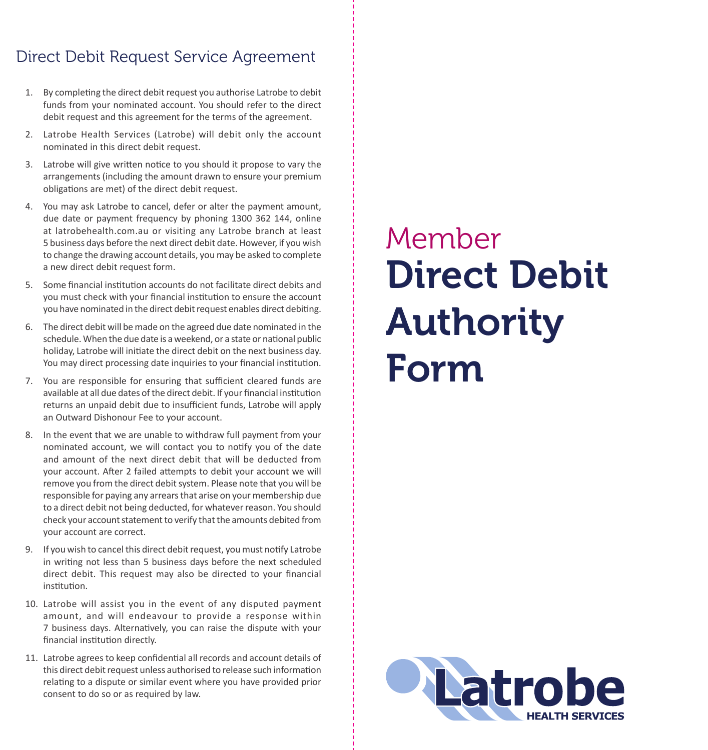# Direct Debit Request Service Agreement

- 1. By completing the direct debit request you authorise Latrobe to debit funds from your nominated account. You should refer to the direct debit request and this agreement for the terms of the agreement.
- 2. Latrobe Health Services (Latrobe) will debit only the account nominated in this direct debit request.
- 3. Latrobe will give written notice to you should it propose to vary the arrangements (including the amount drawn to ensure your premium obligations are met) of the direct debit request.
- 4. You may ask Latrobe to cancel, defer or alter the payment amount, due date or payment frequency by phoning 1300 362 144, online at latrobehealth.com.au or visiting any Latrobe branch at least 5 business days before the next direct debit date. However, if you wish to change the drawing account details, you may be asked to complete a new direct debit request form.
- 5. Some financial institution accounts do not facilitate direct debits and you must check with your financial institution to ensure the account you have nominated in the direct debit request enables direct debiting.
- 6. The direct debit will be made on the agreed due date nominated in the schedule. When the due date is a weekend, or a state or national public holiday, Latrobe will initiate the direct debit on the next business day. You may direct processing date inquiries to your financial institution.
- 7. You are responsible for ensuring that sufficient cleared funds are available at all due dates of the direct debit. If your financial institution returns an unpaid debit due to insufficient funds, Latrobe will apply an Outward Dishonour Fee to your account.
- 8. In the event that we are unable to withdraw full payment from your nominated account, we will contact you to notify you of the date and amount of the next direct debit that will be deducted from your account. After 2 failed attempts to debit your account we will remove you from the direct debit system. Please note that you will be responsible for paying any arrears that arise on your membership due to a direct debit not being deducted, for whatever reason. You should check your account statement to verify that the amounts debited from your account are correct.
- 9. If you wish to cancel this direct debit request, you must notify Latrobe in writing not less than 5 business days before the next scheduled direct debit. This request may also be directed to your financial institution.
- 10. Latrobe will assist you in the event of any disputed payment amount, and will endeavour to provide a response within 7 business days. Alternatively, you can raise the dispute with your financial institution directly.
- 11. Latrobe agrees to keep confidential all records and account details of this direct debit request unless authorised to release such information relating to a dispute or similar event where you have provided prior consent to do so or as required by law.

# Direct Debit Authority Form Member